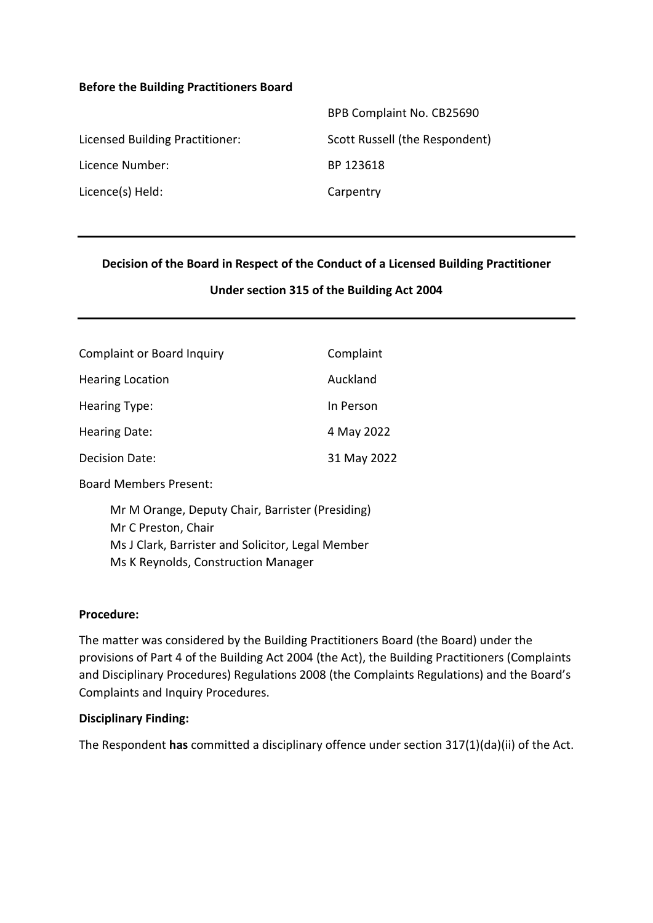### **Before the Building Practitioners Board**

|                                 | BPB Complaint No. CB25690      |
|---------------------------------|--------------------------------|
| Licensed Building Practitioner: | Scott Russell (the Respondent) |
| Licence Number:                 | BP 123618                      |
| Licence(s) Held:                | Carpentry                      |

### **Decision of the Board in Respect of the Conduct of a Licensed Building Practitioner**

#### **Under section 315 of the Building Act 2004**

| <b>Complaint or Board Inquiry</b> | Complaint   |
|-----------------------------------|-------------|
| <b>Hearing Location</b>           | Auckland    |
| <b>Hearing Type:</b>              | In Person   |
| Hearing Date:                     | 4 May 2022  |
| <b>Decision Date:</b>             | 31 May 2022 |

Board Members Present:

Mr M Orange, Deputy Chair, Barrister (Presiding) Mr C Preston, Chair Ms J Clark, Barrister and Solicitor, Legal Member Ms K Reynolds, Construction Manager

#### **Procedure:**

The matter was considered by the Building Practitioners Board (the Board) under the provisions of Part 4 of the Building Act 2004 (the Act), the Building Practitioners (Complaints and Disciplinary Procedures) Regulations 2008 (the Complaints Regulations) and the Board's Complaints and Inquiry Procedures.

#### **Disciplinary Finding:**

The Respondent **has** committed a disciplinary offence under section 317(1)(da)(ii) of the Act.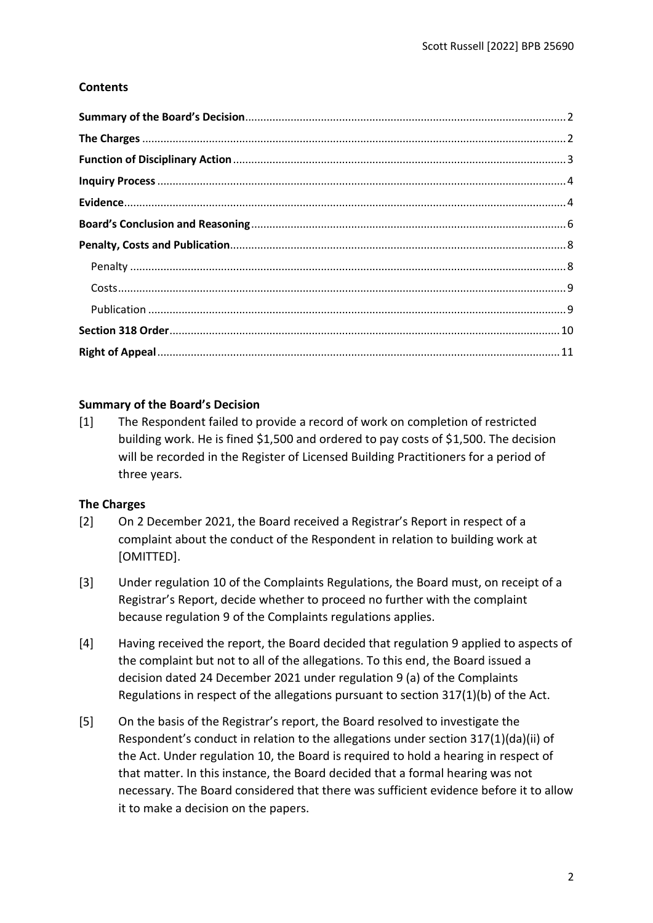# **Contents**

# <span id="page-1-0"></span>**Summary of the Board's Decision**

[1] The Respondent failed to provide a record of work on completion of restricted building work. He is fined \$1,500 and ordered to pay costs of \$1,500. The decision will be recorded in the Register of Licensed Building Practitioners for a period of three years.

# <span id="page-1-1"></span>**The Charges**

- [2] On 2 December 2021, the Board received a Registrar's Report in respect of a complaint about the conduct of the Respondent in relation to building work at [OMITTED].
- [3] Under regulation 10 of the Complaints Regulations, the Board must, on receipt of a Registrar's Report, decide whether to proceed no further with the complaint because regulation 9 of the Complaints regulations applies.
- [4] Having received the report, the Board decided that regulation 9 applied to aspects of the complaint but not to all of the allegations. To this end, the Board issued a decision dated 24 December 2021 under regulation 9 (a) of the Complaints Regulations in respect of the allegations pursuant to section 317(1)(b) of the Act.
- [5] On the basis of the Registrar's report, the Board resolved to investigate the Respondent's conduct in relation to the allegations under section 317(1)(da)(ii) of the Act. Under regulation 10, the Board is required to hold a hearing in respect of that matter. In this instance, the Board decided that a formal hearing was not necessary. The Board considered that there was sufficient evidence before it to allow it to make a decision on the papers.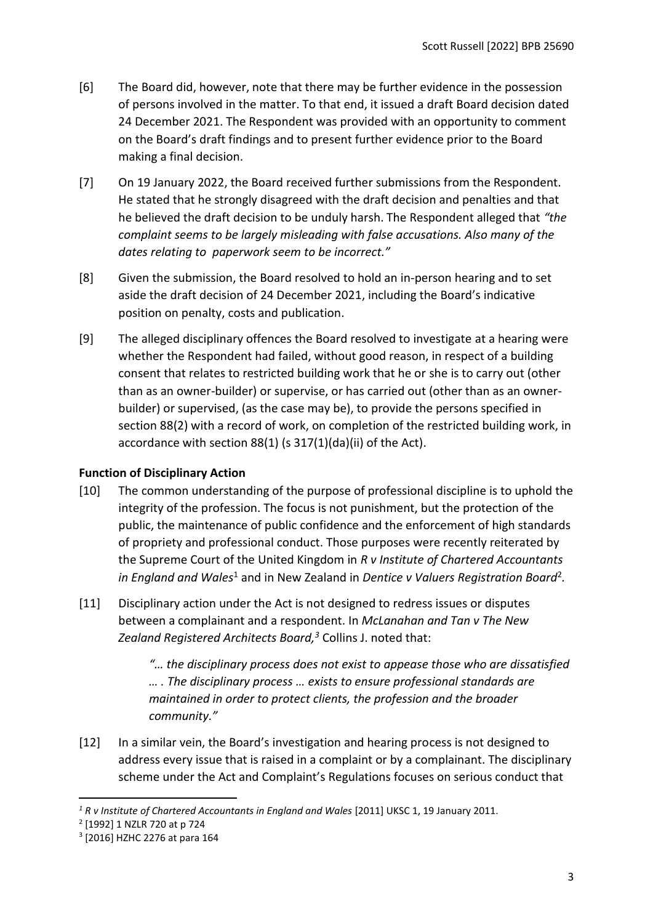- [6] The Board did, however, note that there may be further evidence in the possession of persons involved in the matter. To that end, it issued a draft Board decision dated 24 December 2021. The Respondent was provided with an opportunity to comment on the Board's draft findings and to present further evidence prior to the Board making a final decision.
- [7] On 19 January 2022, the Board received further submissions from the Respondent. He stated that he strongly disagreed with the draft decision and penalties and that he believed the draft decision to be unduly harsh. The Respondent alleged that *"the complaint seems to be largely misleading with false accusations. Also many of the dates relating to paperwork seem to be incorrect."*
- [8] Given the submission, the Board resolved to hold an in-person hearing and to set aside the draft decision of 24 December 2021, including the Board's indicative position on penalty, costs and publication.
- [9] The alleged disciplinary offences the Board resolved to investigate at a hearing were whether the Respondent had failed, without good reason, in respect of a building consent that relates to restricted building work that he or she is to carry out (other than as an owner-builder) or supervise, or has carried out (other than as an ownerbuilder) or supervised, (as the case may be), to provide the persons specified in section 88(2) with a record of work, on completion of the restricted building work, in accordance with section 88(1) (s 317(1)(da)(ii) of the Act).

# <span id="page-2-0"></span>**Function of Disciplinary Action**

- [10] The common understanding of the purpose of professional discipline is to uphold the integrity of the profession. The focus is not punishment, but the protection of the public, the maintenance of public confidence and the enforcement of high standards of propriety and professional conduct. Those purposes were recently reiterated by the Supreme Court of the United Kingdom in *R v Institute of Chartered Accountants*  in England and Wales<sup>1</sup> and in New Zealand in Dentice v Valuers Registration Board<sup>2</sup>.
- [11] Disciplinary action under the Act is not designed to redress issues or disputes between a complainant and a respondent. In *McLanahan and Tan v The New Zealand Registered Architects Board, <sup>3</sup>* Collins J. noted that:

*"… the disciplinary process does not exist to appease those who are dissatisfied … . The disciplinary process … exists to ensure professional standards are maintained in order to protect clients, the profession and the broader community."*

[12] In a similar vein, the Board's investigation and hearing process is not designed to address every issue that is raised in a complaint or by a complainant. The disciplinary scheme under the Act and Complaint's Regulations focuses on serious conduct that

<sup>&</sup>lt;sup>1</sup> R v Institute of Chartered Accountants in England and Wales [2011] UKSC 1, 19 January 2011.

<sup>2</sup> [1992] 1 NZLR 720 at p 724

<sup>3</sup> [2016] HZHC 2276 at para 164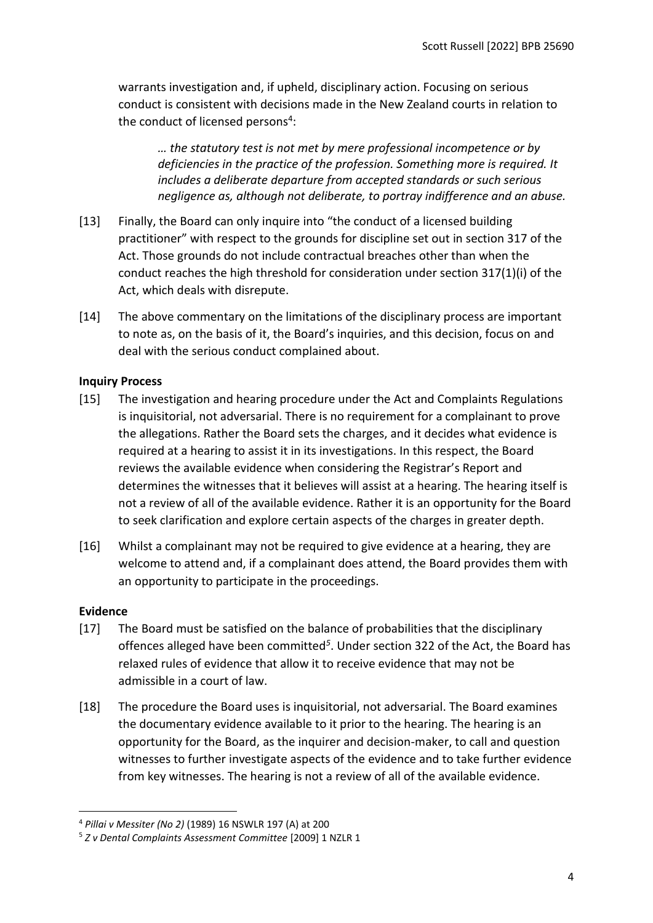warrants investigation and, if upheld, disciplinary action. Focusing on serious conduct is consistent with decisions made in the New Zealand courts in relation to the conduct of licensed persons<sup>4</sup>:

*… the statutory test is not met by mere professional incompetence or by deficiencies in the practice of the profession. Something more is required. It includes a deliberate departure from accepted standards or such serious negligence as, although not deliberate, to portray indifference and an abuse.*

- [13] Finally, the Board can only inquire into "the conduct of a licensed building practitioner" with respect to the grounds for discipline set out in section 317 of the Act. Those grounds do not include contractual breaches other than when the conduct reaches the high threshold for consideration under section 317(1)(i) of the Act, which deals with disrepute.
- [14] The above commentary on the limitations of the disciplinary process are important to note as, on the basis of it, the Board's inquiries, and this decision, focus on and deal with the serious conduct complained about.

### <span id="page-3-0"></span>**Inquiry Process**

- [15] The investigation and hearing procedure under the Act and Complaints Regulations is inquisitorial, not adversarial. There is no requirement for a complainant to prove the allegations. Rather the Board sets the charges, and it decides what evidence is required at a hearing to assist it in its investigations. In this respect, the Board reviews the available evidence when considering the Registrar's Report and determines the witnesses that it believes will assist at a hearing. The hearing itself is not a review of all of the available evidence. Rather it is an opportunity for the Board to seek clarification and explore certain aspects of the charges in greater depth.
- [16] Whilst a complainant may not be required to give evidence at a hearing, they are welcome to attend and, if a complainant does attend, the Board provides them with an opportunity to participate in the proceedings.

### <span id="page-3-1"></span>**Evidence**

- [17] The Board must be satisfied on the balance of probabilities that the disciplinary offences alleged have been committed*<sup>5</sup>* . Under section 322 of the Act, the Board has relaxed rules of evidence that allow it to receive evidence that may not be admissible in a court of law.
- [18] The procedure the Board uses is inquisitorial, not adversarial. The Board examines the documentary evidence available to it prior to the hearing. The hearing is an opportunity for the Board, as the inquirer and decision-maker, to call and question witnesses to further investigate aspects of the evidence and to take further evidence from key witnesses. The hearing is not a review of all of the available evidence.

<sup>4</sup> *Pillai v Messiter (No 2)* (1989) 16 NSWLR 197 (A) at 200

<sup>5</sup> *Z v Dental Complaints Assessment Committee* [2009] 1 NZLR 1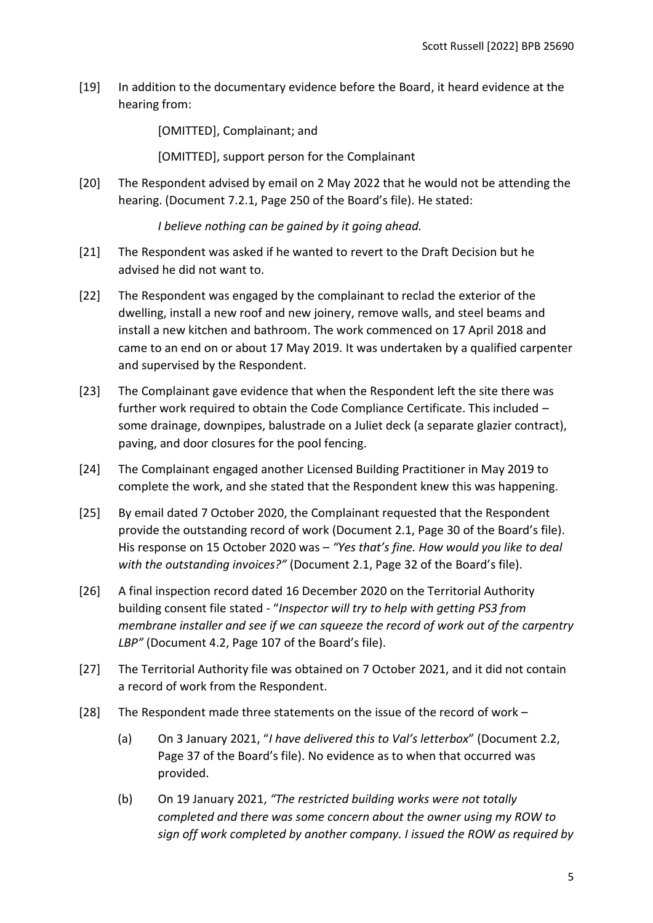[19] In addition to the documentary evidence before the Board, it heard evidence at the hearing from:

[OMITTED], Complainant; and

[OMITTED], support person for the Complainant

[20] The Respondent advised by email on 2 May 2022 that he would not be attending the hearing. (Document 7.2.1, Page 250 of the Board's file). He stated:

*I believe nothing can be gained by it going ahead.* 

- [21] The Respondent was asked if he wanted to revert to the Draft Decision but he advised he did not want to.
- [22] The Respondent was engaged by the complainant to reclad the exterior of the dwelling, install a new roof and new joinery, remove walls, and steel beams and install a new kitchen and bathroom. The work commenced on 17 April 2018 and came to an end on or about 17 May 2019. It was undertaken by a qualified carpenter and supervised by the Respondent.
- [23] The Complainant gave evidence that when the Respondent left the site there was further work required to obtain the Code Compliance Certificate. This included – some drainage, downpipes, balustrade on a Juliet deck (a separate glazier contract), paving, and door closures for the pool fencing.
- [24] The Complainant engaged another Licensed Building Practitioner in May 2019 to complete the work, and she stated that the Respondent knew this was happening.
- [25] By email dated 7 October 2020, the Complainant requested that the Respondent provide the outstanding record of work (Document 2.1, Page 30 of the Board's file). His response on 15 October 2020 was – *"Yes that's fine. How would you like to deal with the outstanding invoices?"* (Document 2.1, Page 32 of the Board's file).
- [26] A final inspection record dated 16 December 2020 on the Territorial Authority building consent file stated - "*Inspector will try to help with getting PS3 from membrane installer and see if we can squeeze the record of work out of the carpentry LBP"* (Document 4.2, Page 107 of the Board's file).
- [27] The Territorial Authority file was obtained on 7 October 2021, and it did not contain a record of work from the Respondent.
- [28] The Respondent made three statements on the issue of the record of work
	- (a) On 3 January 2021, "*I have delivered this to Val's letterbox*" (Document 2.2, Page 37 of the Board's file). No evidence as to when that occurred was provided.
	- (b) On 19 January 2021, *"The restricted building works were not totally completed and there was some concern about the owner using my ROW to sign off work completed by another company. I issued the ROW as required by*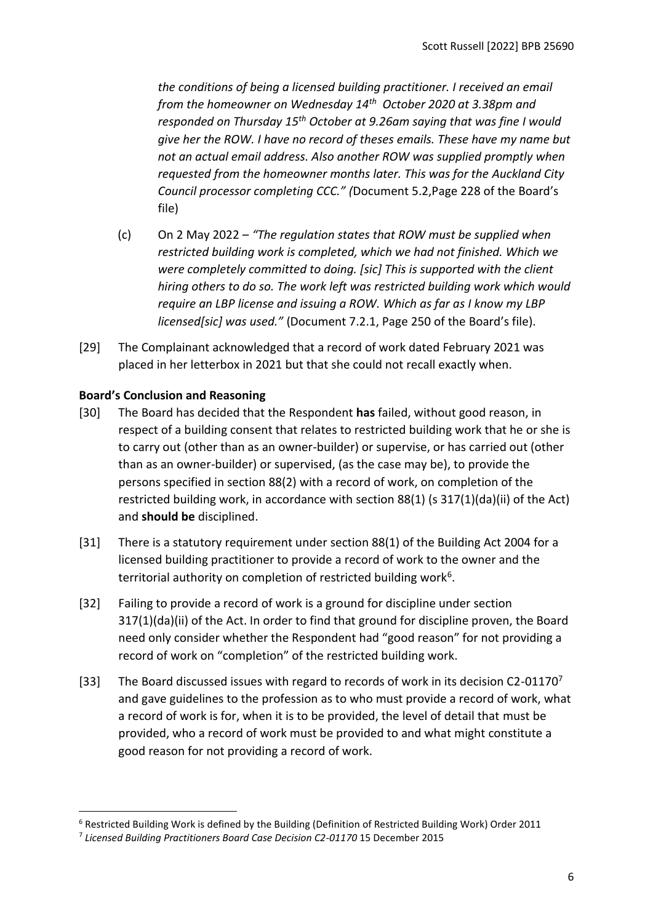*the conditions of being a licensed building practitioner. I received an email from the homeowner on Wednesday 14th October 2020 at 3.38pm and responded on Thursday 15th October at 9.26am saying that was fine I would give her the ROW. I have no record of theses emails. These have my name but not an actual email address. Also another ROW was supplied promptly when requested from the homeowner months later. This was for the Auckland City Council processor completing CCC." (*Document 5.2,Page 228 of the Board's file)

- (c) On 2 May 2022 *"The regulation states that ROW must be supplied when restricted building work is completed, which we had not finished. Which we were completely committed to doing. [sic] This is supported with the client hiring others to do so. The work left was restricted building work which would require an LBP license and issuing a ROW. Which as far as I know my LBP licensed[sic] was used."* (Document 7.2.1, Page 250 of the Board's file).
- [29] The Complainant acknowledged that a record of work dated February 2021 was placed in her letterbox in 2021 but that she could not recall exactly when.

# <span id="page-5-0"></span>**Board's Conclusion and Reasoning**

- [30] The Board has decided that the Respondent **has** failed, without good reason, in respect of a building consent that relates to restricted building work that he or she is to carry out (other than as an owner-builder) or supervise, or has carried out (other than as an owner-builder) or supervised, (as the case may be), to provide the persons specified in section 88(2) with a record of work, on completion of the restricted building work, in accordance with section 88(1) (s 317(1)(da)(ii) of the Act) and **should be** disciplined.
- [31] There is a statutory requirement under section 88(1) of the Building Act 2004 for a licensed building practitioner to provide a record of work to the owner and the territorial authority on completion of restricted building work<sup>6</sup>.
- [32] Failing to provide a record of work is a ground for discipline under section 317(1)(da)(ii) of the Act. In order to find that ground for discipline proven, the Board need only consider whether the Respondent had "good reason" for not providing a record of work on "completion" of the restricted building work.
- [33] The Board discussed issues with regard to records of work in its decision C2-01170<sup>7</sup> and gave guidelines to the profession as to who must provide a record of work, what a record of work is for, when it is to be provided, the level of detail that must be provided, who a record of work must be provided to and what might constitute a good reason for not providing a record of work.

<sup>6</sup> Restricted Building Work is defined by the Building (Definition of Restricted Building Work) Order 2011

<sup>&</sup>lt;sup>7</sup> Licensed Building Practitioners Board Case Decision C2-01170 15 December 2015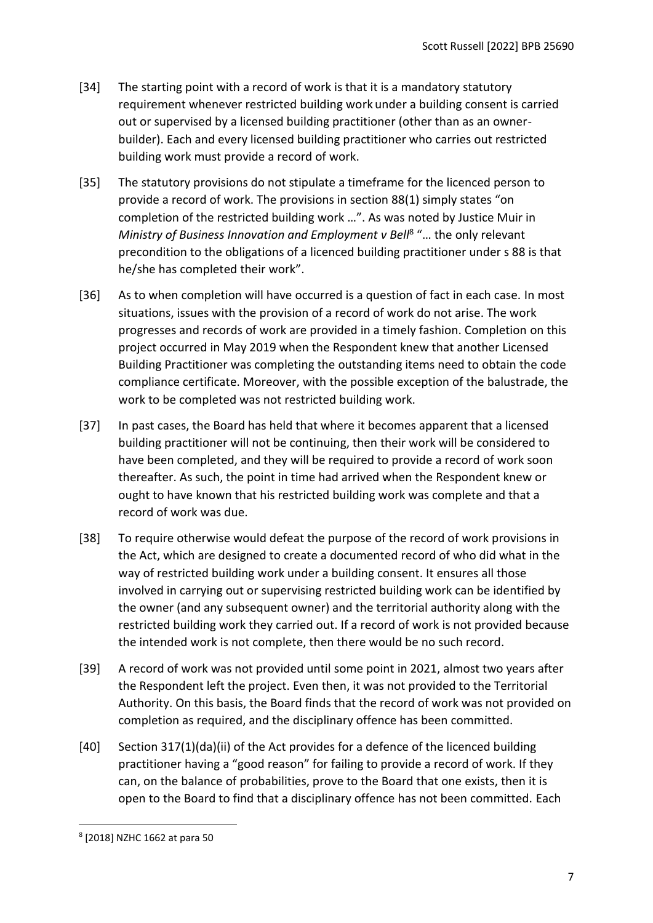- [34] The starting point with a record of work is that it is a mandatory statutory requirement whenever restricted building work under a building consent is carried out or supervised by a licensed building practitioner (other than as an ownerbuilder). Each and every licensed building practitioner who carries out restricted building work must provide a record of work.
- [35] The statutory provisions do not stipulate a timeframe for the licenced person to provide a record of work. The provisions in section 88(1) simply states "on completion of the restricted building work …". As was noted by Justice Muir in Ministry of Business Innovation and Employment v Bell<sup>8</sup> "... the only relevant precondition to the obligations of a licenced building practitioner under s 88 is that he/she has completed their work".
- [36] As to when completion will have occurred is a question of fact in each case. In most situations, issues with the provision of a record of work do not arise. The work progresses and records of work are provided in a timely fashion. Completion on this project occurred in May 2019 when the Respondent knew that another Licensed Building Practitioner was completing the outstanding items need to obtain the code compliance certificate. Moreover, with the possible exception of the balustrade, the work to be completed was not restricted building work.
- [37] In past cases, the Board has held that where it becomes apparent that a licensed building practitioner will not be continuing, then their work will be considered to have been completed, and they will be required to provide a record of work soon thereafter. As such, the point in time had arrived when the Respondent knew or ought to have known that his restricted building work was complete and that a record of work was due.
- [38] To require otherwise would defeat the purpose of the record of work provisions in the Act, which are designed to create a documented record of who did what in the way of restricted building work under a building consent. It ensures all those involved in carrying out or supervising restricted building work can be identified by the owner (and any subsequent owner) and the territorial authority along with the restricted building work they carried out. If a record of work is not provided because the intended work is not complete, then there would be no such record.
- [39] A record of work was not provided until some point in 2021, almost two years after the Respondent left the project. Even then, it was not provided to the Territorial Authority. On this basis, the Board finds that the record of work was not provided on completion as required, and the disciplinary offence has been committed.
- [40] Section 317(1)(da)(ii) of the Act provides for a defence of the licenced building practitioner having a "good reason" for failing to provide a record of work. If they can, on the balance of probabilities, prove to the Board that one exists, then it is open to the Board to find that a disciplinary offence has not been committed. Each

<sup>8</sup> [2018] NZHC 1662 at para 50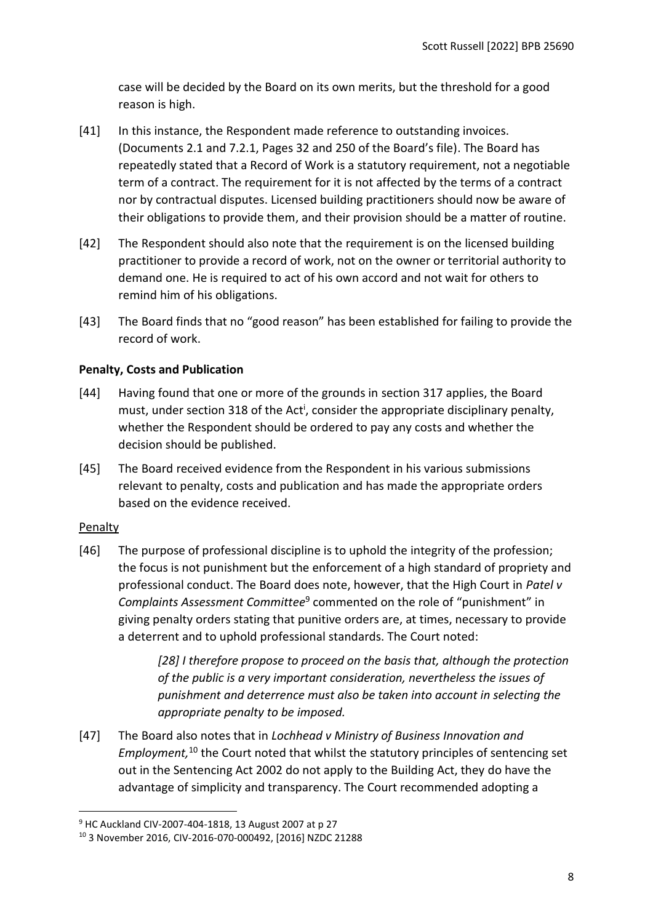case will be decided by the Board on its own merits, but the threshold for a good reason is high.

- [41] In this instance, the Respondent made reference to outstanding invoices. (Documents 2.1 and 7.2.1, Pages 32 and 250 of the Board's file). The Board has repeatedly stated that a Record of Work is a statutory requirement, not a negotiable term of a contract. The requirement for it is not affected by the terms of a contract nor by contractual disputes. Licensed building practitioners should now be aware of their obligations to provide them, and their provision should be a matter of routine.
- [42] The Respondent should also note that the requirement is on the licensed building practitioner to provide a record of work, not on the owner or territorial authority to demand one. He is required to act of his own accord and not wait for others to remind him of his obligations.
- [43] The Board finds that no "good reason" has been established for failing to provide the record of work.

# <span id="page-7-0"></span>**Penalty, Costs and Publication**

- [44] Having found that one or more of the grounds in section 317 applies, the Board must, under section 318 of the Act<sup>i</sup>, consider the appropriate disciplinary penalty, whether the Respondent should be ordered to pay any costs and whether the decision should be published.
- [45] The Board received evidence from the Respondent in his various submissions relevant to penalty, costs and publication and has made the appropriate orders based on the evidence received.

# <span id="page-7-1"></span>Penalty

[46] The purpose of professional discipline is to uphold the integrity of the profession; the focus is not punishment but the enforcement of a high standard of propriety and professional conduct. The Board does note, however, that the High Court in *Patel v*  Complaints Assessment Committee<sup>9</sup> commented on the role of "punishment" in giving penalty orders stating that punitive orders are, at times, necessary to provide a deterrent and to uphold professional standards. The Court noted:

> *[28] I therefore propose to proceed on the basis that, although the protection of the public is a very important consideration, nevertheless the issues of punishment and deterrence must also be taken into account in selecting the appropriate penalty to be imposed.*

[47] The Board also notes that in *Lochhead v Ministry of Business Innovation and Employment,* <sup>10</sup> the Court noted that whilst the statutory principles of sentencing set out in the Sentencing Act 2002 do not apply to the Building Act, they do have the advantage of simplicity and transparency. The Court recommended adopting a

<sup>9</sup> HC Auckland CIV-2007-404-1818, 13 August 2007 at p 27

<sup>10</sup> 3 November 2016, CIV-2016-070-000492, [2016] NZDC 21288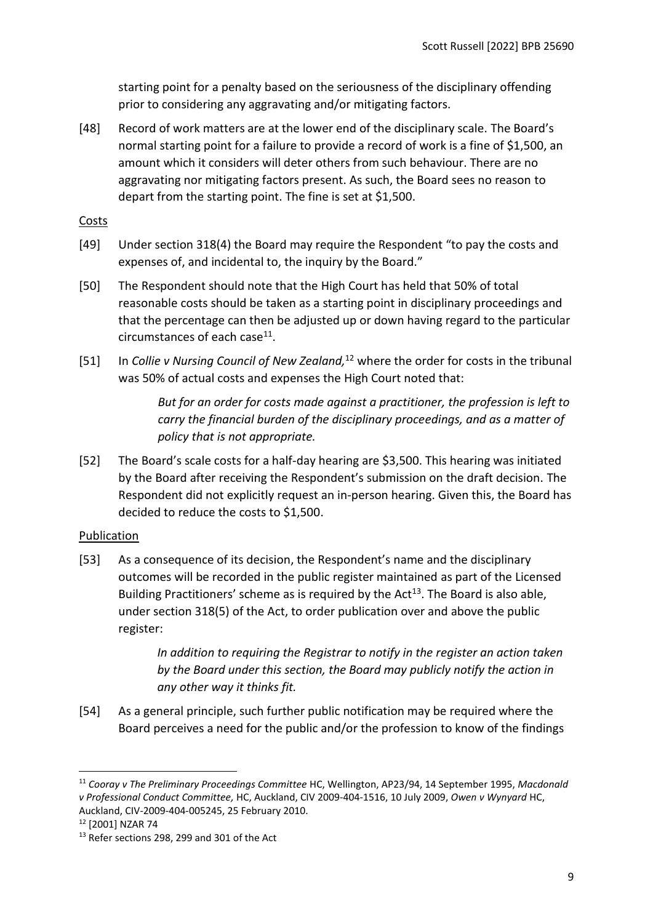starting point for a penalty based on the seriousness of the disciplinary offending prior to considering any aggravating and/or mitigating factors.

[48] Record of work matters are at the lower end of the disciplinary scale. The Board's normal starting point for a failure to provide a record of work is a fine of \$1,500, an amount which it considers will deter others from such behaviour. There are no aggravating nor mitigating factors present. As such, the Board sees no reason to depart from the starting point. The fine is set at \$1,500.

# <span id="page-8-0"></span>**Costs**

- [49] Under section 318(4) the Board may require the Respondent "to pay the costs and expenses of, and incidental to, the inquiry by the Board."
- [50] The Respondent should note that the High Court has held that 50% of total reasonable costs should be taken as a starting point in disciplinary proceedings and that the percentage can then be adjusted up or down having regard to the particular circumstances of each case<sup>11</sup>.
- [51] In *Collie v Nursing Council of New Zealand,* <sup>12</sup> where the order for costs in the tribunal was 50% of actual costs and expenses the High Court noted that:

*But for an order for costs made against a practitioner, the profession is left to carry the financial burden of the disciplinary proceedings, and as a matter of policy that is not appropriate.*

[52] The Board's scale costs for a half-day hearing are \$3,500. This hearing was initiated by the Board after receiving the Respondent's submission on the draft decision. The Respondent did not explicitly request an in-person hearing. Given this, the Board has decided to reduce the costs to \$1,500.

# <span id="page-8-1"></span>Publication

[53] As a consequence of its decision, the Respondent's name and the disciplinary outcomes will be recorded in the public register maintained as part of the Licensed Building Practitioners' scheme as is required by the Act<sup>13</sup>. The Board is also able, under section 318(5) of the Act, to order publication over and above the public register:

> *In addition to requiring the Registrar to notify in the register an action taken by the Board under this section, the Board may publicly notify the action in any other way it thinks fit.*

[54] As a general principle, such further public notification may be required where the Board perceives a need for the public and/or the profession to know of the findings

<sup>11</sup> *Cooray v The Preliminary Proceedings Committee* HC, Wellington, AP23/94, 14 September 1995, *Macdonald v Professional Conduct Committee,* HC, Auckland, CIV 2009-404-1516, 10 July 2009, *Owen v Wynyard* HC, Auckland, CIV-2009-404-005245, 25 February 2010.

<sup>12</sup> [2001] NZAR 74

<sup>&</sup>lt;sup>13</sup> Refer sections 298, 299 and 301 of the Act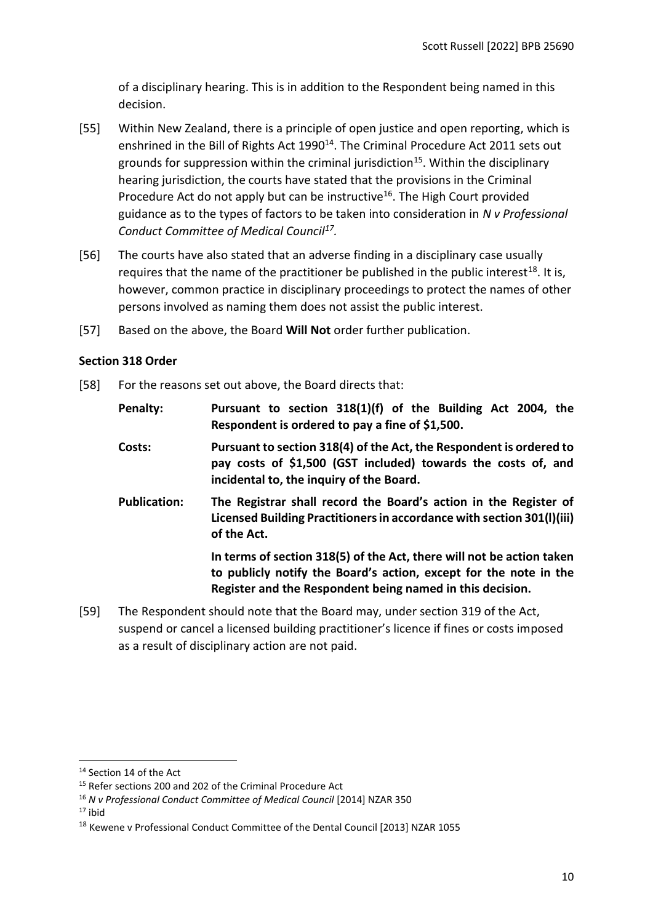of a disciplinary hearing. This is in addition to the Respondent being named in this decision.

- [55] Within New Zealand, there is a principle of open justice and open reporting, which is enshrined in the Bill of Rights Act 1990<sup>14</sup>. The Criminal Procedure Act 2011 sets out grounds for suppression within the criminal jurisdiction<sup>15</sup>. Within the disciplinary hearing jurisdiction, the courts have stated that the provisions in the Criminal Procedure Act do not apply but can be instructive<sup>16</sup>. The High Court provided guidance as to the types of factors to be taken into consideration in *N v Professional Conduct Committee of Medical Council<sup>17</sup> .*
- [56] The courts have also stated that an adverse finding in a disciplinary case usually requires that the name of the practitioner be published in the public interest<sup>18</sup>. It is, however, common practice in disciplinary proceedings to protect the names of other persons involved as naming them does not assist the public interest.
- [57] Based on the above, the Board **Will Not** order further publication.

### <span id="page-9-0"></span>**Section 318 Order**

[58] For the reasons set out above, the Board directs that:

| Penalty:            | Pursuant to section 318(1)(f) of the Building Act 2004, the<br>Respondent is ordered to pay a fine of \$1,500.                                                                                          |
|---------------------|---------------------------------------------------------------------------------------------------------------------------------------------------------------------------------------------------------|
| Costs:              | Pursuant to section 318(4) of the Act, the Respondent is ordered to<br>pay costs of \$1,500 (GST included) towards the costs of, and<br>incidental to, the inquiry of the Board.                        |
| <b>Publication:</b> | The Registrar shall record the Board's action in the Register of<br>Licensed Building Practitioners in accordance with section 301(I)(iii)<br>of the Act.                                               |
|                     | In terms of section 318(5) of the Act, there will not be action taken<br>to publicly notify the Board's action, except for the note in the<br>Register and the Respondent being named in this decision. |
|                     | The Bespendent should note that the Beard may under section 210 of the Act                                                                                                                              |

[59] The Respondent should note that the Board may, under section 319 of the Act, suspend or cancel a licensed building practitioner's licence if fines or costs imposed as a result of disciplinary action are not paid.

 $17$  ibid

<sup>&</sup>lt;sup>14</sup> Section 14 of the Act

<sup>&</sup>lt;sup>15</sup> Refer sections 200 and 202 of the Criminal Procedure Act

<sup>16</sup> *N v Professional Conduct Committee of Medical Council* [2014] NZAR 350

<sup>&</sup>lt;sup>18</sup> Kewene v Professional Conduct Committee of the Dental Council [2013] NZAR 1055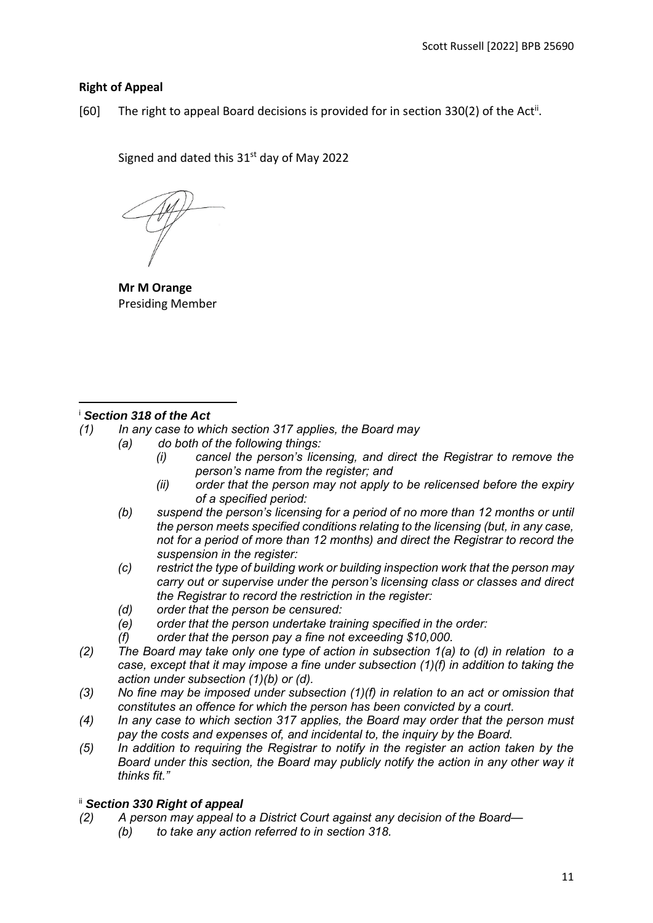# <span id="page-10-0"></span>**Right of Appeal**

[60] The right to appeal Board decisions is provided for in section 330(2) of the Act<sup>ii</sup>.

Signed and dated this  $31<sup>st</sup>$  day of May 2022

**Mr M Orange** Presiding Member

# <sup>i</sup> *Section 318 of the Act*

- *(1) In any case to which section 317 applies, the Board may*
	- *(a) do both of the following things:*
		- *(i) cancel the person's licensing, and direct the Registrar to remove the person's name from the register; and*
		- *(ii) order that the person may not apply to be relicensed before the expiry of a specified period:*
		- *(b) suspend the person's licensing for a period of no more than 12 months or until the person meets specified conditions relating to the licensing (but, in any case, not for a period of more than 12 months) and direct the Registrar to record the suspension in the register:*
		- *(c) restrict the type of building work or building inspection work that the person may carry out or supervise under the person's licensing class or classes and direct the Registrar to record the restriction in the register:*
		- *(d) order that the person be censured:*
		- *(e) order that the person undertake training specified in the order:*
		- *(f) order that the person pay a fine not exceeding \$10,000.*
- *(2) The Board may take only one type of action in subsection 1(a) to (d) in relation to a case, except that it may impose a fine under subsection (1)(f) in addition to taking the action under subsection (1)(b) or (d).*
- *(3) No fine may be imposed under subsection (1)(f) in relation to an act or omission that constitutes an offence for which the person has been convicted by a court.*
- *(4) In any case to which section 317 applies, the Board may order that the person must pay the costs and expenses of, and incidental to, the inquiry by the Board.*
- *(5) In addition to requiring the Registrar to notify in the register an action taken by the Board under this section, the Board may publicly notify the action in any other way it thinks fit."*

# ii *Section 330 Right of appeal*

- *(2) A person may appeal to a District Court against any decision of the Board—*
	- *(b) to take any action referred to in section 318.*